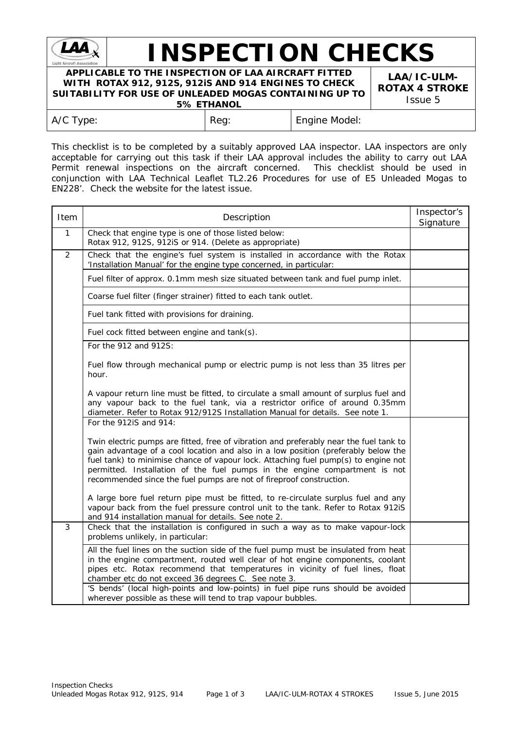

## **INSPECTION CHECKS**

**APPLICABLE TO THE INSPECTION OF LAA AIRCRAFT FITTED WITH ROTAX 912, 912S, 912iS AND 914 ENGINES TO CHECK SUITABILITY FOR USE OF UNLEADED MOGAS CONTAINING UP TO 5% ETHANOL**

**LAA/IC-ULM-ROTAX 4 STROKE** Issue 5

| Engine Model:<br>A/C Type:<br>Reg: |
|------------------------------------|
|------------------------------------|

This checklist is to be completed by a suitably approved LAA inspector. LAA inspectors are only acceptable for carrying out this task if their LAA approval includes the ability to carry out LAA Permit renewal inspections on the aircraft concerned. This checklist should be used in conjunction with LAA Technical Leaflet TL2.26 Procedures for use of E5 Unleaded Mogas to EN228'. Check the website for the latest issue.

| Item         | Description                                                                                                                                                                                                                                                                                                                                                                                                             |  |  |  |  |  |
|--------------|-------------------------------------------------------------------------------------------------------------------------------------------------------------------------------------------------------------------------------------------------------------------------------------------------------------------------------------------------------------------------------------------------------------------------|--|--|--|--|--|
| $\mathbf{1}$ | Check that engine type is one of those listed below:<br>Rotax 912, 912S, 912iS or 914. (Delete as appropriate)                                                                                                                                                                                                                                                                                                          |  |  |  |  |  |
| 2            | Check that the engine's fuel system is installed in accordance with the Rotax<br>'Installation Manual' for the engine type concerned, in particular:                                                                                                                                                                                                                                                                    |  |  |  |  |  |
|              | Fuel filter of approx. 0.1mm mesh size situated between tank and fuel pump inlet.                                                                                                                                                                                                                                                                                                                                       |  |  |  |  |  |
|              | Coarse fuel filter (finger strainer) fitted to each tank outlet.                                                                                                                                                                                                                                                                                                                                                        |  |  |  |  |  |
|              | Fuel tank fitted with provisions for draining.                                                                                                                                                                                                                                                                                                                                                                          |  |  |  |  |  |
|              | Fuel cock fitted between engine and tank(s).                                                                                                                                                                                                                                                                                                                                                                            |  |  |  |  |  |
|              | For the 912 and 912S:                                                                                                                                                                                                                                                                                                                                                                                                   |  |  |  |  |  |
|              | Fuel flow through mechanical pump or electric pump is not less than 35 litres per<br>hour.                                                                                                                                                                                                                                                                                                                              |  |  |  |  |  |
|              | A vapour return line must be fitted, to circulate a small amount of surplus fuel and<br>any vapour back to the fuel tank, via a restrictor orifice of around 0.35mm<br>diameter. Refer to Rotax 912/912S Installation Manual for details. See note 1.                                                                                                                                                                   |  |  |  |  |  |
|              | For the 912iS and 914:                                                                                                                                                                                                                                                                                                                                                                                                  |  |  |  |  |  |
|              | Twin electric pumps are fitted, free of vibration and preferably near the fuel tank to<br>gain advantage of a cool location and also in a low position (preferably below the<br>fuel tank) to minimise chance of vapour lock. Attaching fuel pump(s) to engine not<br>permitted. Installation of the fuel pumps in the engine compartment is not<br>recommended since the fuel pumps are not of fireproof construction. |  |  |  |  |  |
|              | A large bore fuel return pipe must be fitted, to re-circulate surplus fuel and any<br>vapour back from the fuel pressure control unit to the tank. Refer to Rotax 912iS<br>and 914 installation manual for details. See note 2.                                                                                                                                                                                         |  |  |  |  |  |
| $\mathbf{3}$ | Check that the installation is configured in such a way as to make vapour-lock<br>problems unlikely, in particular:                                                                                                                                                                                                                                                                                                     |  |  |  |  |  |
|              | All the fuel lines on the suction side of the fuel pump must be insulated from heat<br>in the engine compartment, routed well clear of hot engine components, coolant<br>pipes etc. Rotax recommend that temperatures in vicinity of fuel lines, float<br>chamber etc do not exceed 36 degrees C. See note 3.                                                                                                           |  |  |  |  |  |
|              | 'S bends' (local high-points and low-points) in fuel pipe runs should be avoided<br>wherever possible as these will tend to trap vapour bubbles.                                                                                                                                                                                                                                                                        |  |  |  |  |  |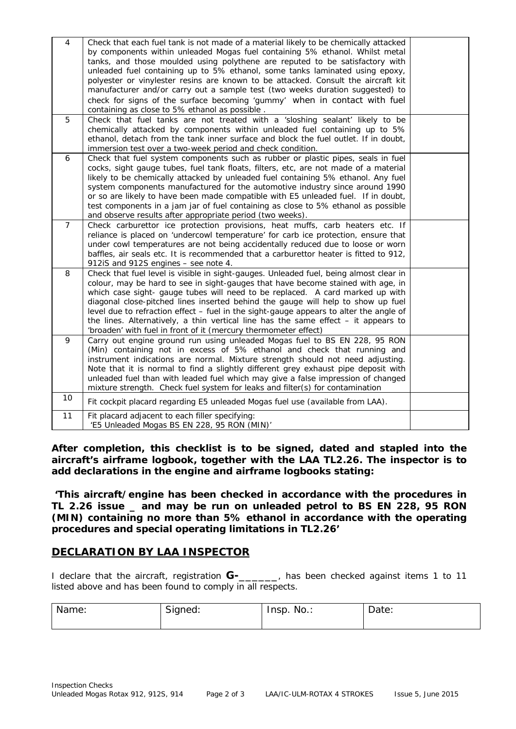| 4              | Check that each fuel tank is not made of a material likely to be chemically attacked<br>by components within unleaded Mogas fuel containing 5% ethanol. Whilst metal<br>tanks, and those moulded using polythene are reputed to be satisfactory with<br>unleaded fuel containing up to 5% ethanol, some tanks laminated using epoxy,<br>polyester or vinylester resins are known to be attacked. Consult the aircraft kit<br>manufacturer and/or carry out a sample test (two weeks duration suggested) to<br>check for signs of the surface becoming 'gummy' when in contact with fuel<br>containing as close to 5% ethanol as possible. |  |
|----------------|-------------------------------------------------------------------------------------------------------------------------------------------------------------------------------------------------------------------------------------------------------------------------------------------------------------------------------------------------------------------------------------------------------------------------------------------------------------------------------------------------------------------------------------------------------------------------------------------------------------------------------------------|--|
| 5              | Check that fuel tanks are not treated with a 'sloshing sealant' likely to be<br>chemically attacked by components within unleaded fuel containing up to 5%<br>ethanol, detach from the tank inner surface and block the fuel outlet. If in doubt,<br>immersion test over a two-week period and check condition.                                                                                                                                                                                                                                                                                                                           |  |
| 6              | Check that fuel system components such as rubber or plastic pipes, seals in fuel<br>cocks, sight gauge tubes, fuel tank floats, filters, etc, are not made of a material<br>likely to be chemically attacked by unleaded fuel containing 5% ethanol. Any fuel<br>system components manufactured for the automotive industry since around 1990<br>or so are likely to have been made compatible with E5 unleaded fuel. If in doubt,<br>test components in a jam jar of fuel containing as close to 5% ethanol as possible<br>and observe results after appropriate period (two weeks).                                                     |  |
| $\overline{7}$ | Check carburettor ice protection provisions, heat muffs, carb heaters etc. If<br>reliance is placed on 'undercowl temperature' for carb ice protection, ensure that<br>under cowl temperatures are not being accidentally reduced due to loose or worn<br>baffles, air seals etc. It is recommended that a carburettor heater is fitted to 912,<br>912iS and 912S engines - see note 4.                                                                                                                                                                                                                                                   |  |
| 8              | Check that fuel level is visible in sight-gauges. Unleaded fuel, being almost clear in<br>colour, may be hard to see in sight-gauges that have become stained with age, in<br>which case sight- gauge tubes will need to be replaced. A card marked up with<br>diagonal close-pitched lines inserted behind the gauge will help to show up fuel<br>level due to refraction effect - fuel in the sight-gauge appears to alter the angle of<br>the lines. Alternatively, a thin vertical line has the same effect $-$ it appears to<br>'broaden' with fuel in front of it (mercury thermometer effect)                                      |  |
| 9              | Carry out engine ground run using unleaded Mogas fuel to BS EN 228, 95 RON<br>(Min) containing not in excess of 5% ethanol and check that running and<br>instrument indications are normal. Mixture strength should not need adjusting.<br>Note that it is normal to find a slightly different grey exhaust pipe deposit with<br>unleaded fuel than with leaded fuel which may give a false impression of changed<br>mixture strength. Check fuel system for leaks and filter(s) for contamination                                                                                                                                        |  |
| 10             | Fit cockpit placard regarding E5 unleaded Mogas fuel use (available from LAA).                                                                                                                                                                                                                                                                                                                                                                                                                                                                                                                                                            |  |
| 11             | Fit placard adjacent to each filler specifying:<br>'E5 Unleaded Mogas BS EN 228, 95 RON (MIN)'                                                                                                                                                                                                                                                                                                                                                                                                                                                                                                                                            |  |

**After completion, this checklist is to be signed, dated and stapled into the aircraft's airframe logbook, together with the LAA TL2.26. The inspector is to add declarations in the engine and airframe logbooks stating:**

*'This aircraft/engine has been checked in accordance with the procedures in TL 2.26 issue \_ and may be run on unleaded petrol to BS EN 228, 95 RON (MIN) containing no more than 5% ethanol in accordance with the operating procedures and special operating limitations in TL2.26'*

## **DECLARATION BY LAA INSPECTOR**

I declare that the aircraft, registration **G-**\_\_\_\_\_\_, has been checked against items 1 to 11 listed above and has been found to comply in all respects.

| Name: | $\sim$<br>Signed: | $No.$ :<br>Insp | Date: |
|-------|-------------------|-----------------|-------|
|       |                   |                 |       |